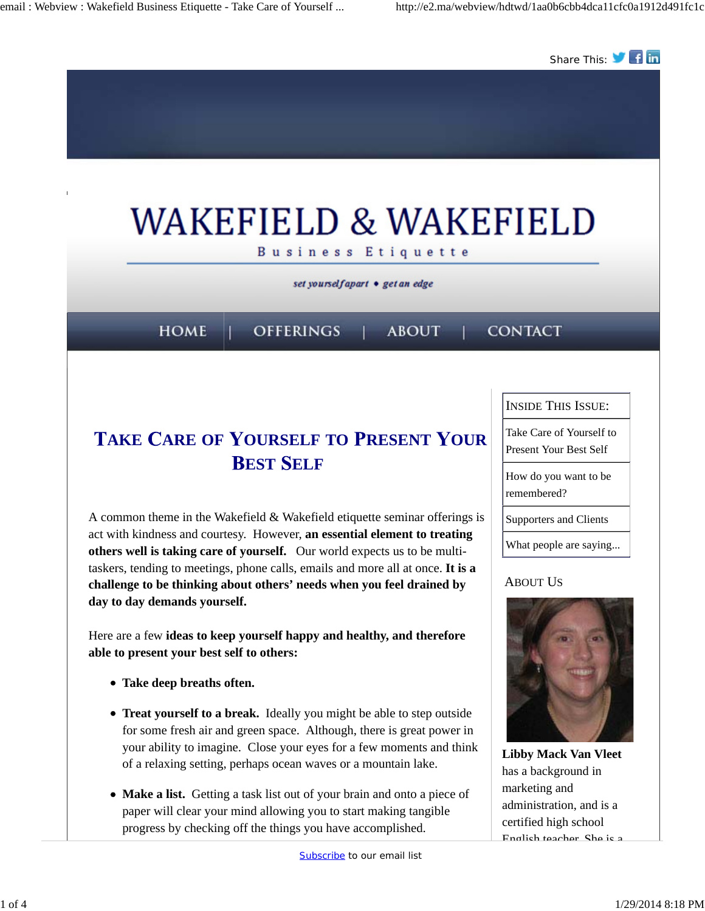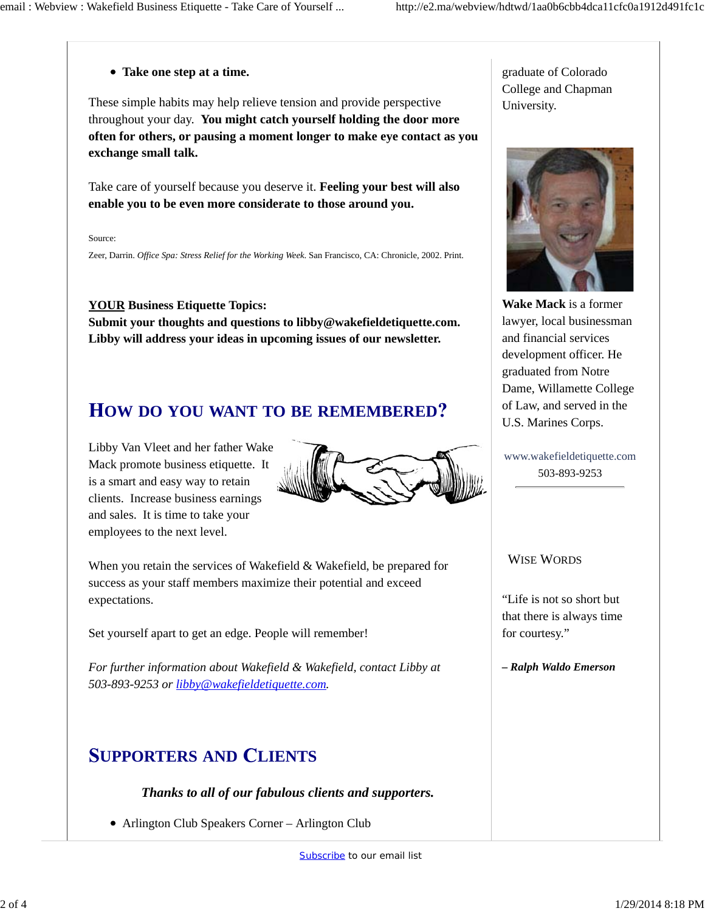#### **Take one step at a time.**

These simple habits may help relieve tension and provide perspective throughout your day. **You might catch yourself holding the door more often for others, or pausing a moment longer to make eye contact as you exchange small talk.** 

Take care of yourself because you deserve it. **Feeling your best will also enable you to be even more considerate to those around you.**

Source:

Zeer, Darrin. *Office Spa: Stress Relief for the Working Week*. San Francisco, CA: Chronicle, 2002. Print.

**YOUR Business Etiquette Topics:**

**Submit your thoughts and questions to libby@wakefieldetiquette.com. Libby will address your ideas in upcoming issues of our newsletter.**

### **OW DO YOU WANT TO BE REMEMBERED**

Libby Van Vleet and her father Wake Mack promote business etiquette. It is a smart and easy way to retain clients. Increase business earnings and sales. It is time to take your employees to the next level.



When you retain the services of Wakefield & Wakefield, be prepared for success as your staff members maximize their potential and exceed expectations.

Set yourself apart to get an edge. People will remember!

*For further information about Wakefield & Wakefield, contact Libby at 503-893-9253 or libby@wakefieldetiquette.com.*

## **UPPORTERS AND LIENTS**

### *Thanks to all of our fabulous clients and supporters.*

Arlington Club Speakers Corner – Arlington Club

graduate of Colorado College and Chapman University.



**Wake Mack** is a former lawyer, local businessman and financial services development officer. He graduated from Notre Dame, Willamette College of Law, and served in the U.S. Marines Corps.

www.wakefieldetiquette.com 503-893-9253

#### WISE WORDS

"Life is not so short but that there is always time for courtesy."

*– Ralph Waldo Emerson*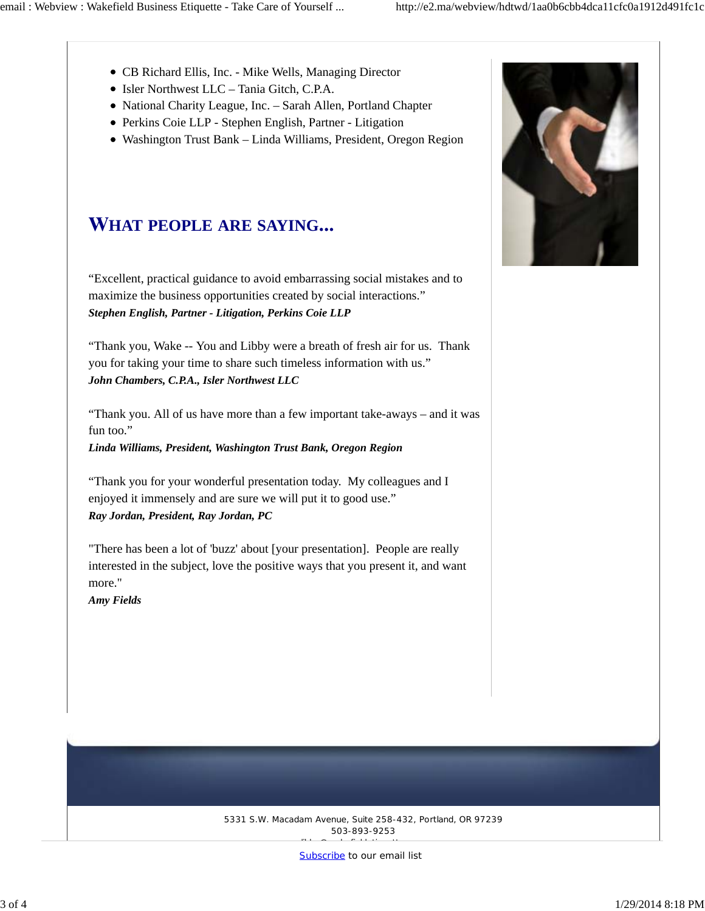- CB Richard Ellis, Inc. Mike Wells, Managing Director
- Isler Northwest LLC Tania Gitch, C.P.A.
- National Charity League, Inc. Sarah Allen, Portland Chapter
- Perkins Coie LLP Stephen English, Partner Litigation
- Washington Trust Bank Linda Williams, President, Oregon Region

# **HAT PEOPLE ARE SAYING**

"Excellent, practical guidance to avoid embarrassing social mistakes and to maximize the business opportunities created by social interactions." *Stephen English, Partner - Litigation, Perkins Coie LLP*

"Thank you, Wake -- You and Libby were a breath of fresh air for us. Thank you for taking your time to share such timeless information with us." *John Chambers, C.P.A., Isler Northwest LLC*

"Thank you. All of us have more than a few important take-aways – and it was fun too."

*Linda Williams, President, Washington Trust Bank, Oregon Region*

"Thank you for your wonderful presentation today. My colleagues and I enjoyed it immensely and are sure we will put it to good use." *Ray Jordan, President, Ray Jordan, PC*

"There has been a lot of 'buzz' about [your presentation]. People are really interested in the subject, love the positive ways that you present it, and want more."

*Amy Fields*



5331 S.W. Macadam Avenue, Suite 258-432, Portland, OR 97239 503-893-9253 libby@wakefieldetiquette.com